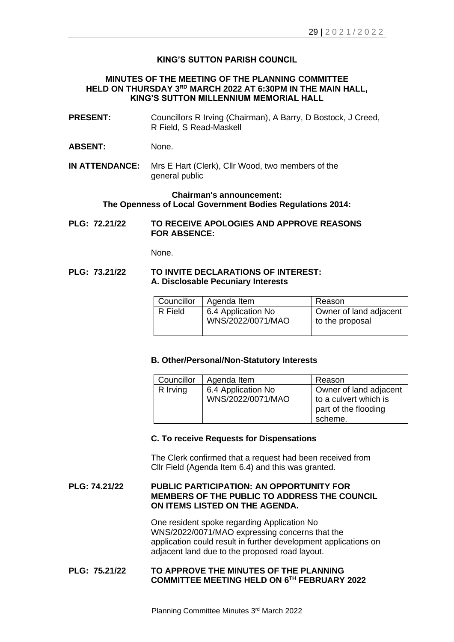# **KING'S SUTTON PARISH COUNCIL**

# **MINUTES OF THE MEETING OF THE PLANNING COMMITTEE HELD ON THURSDAY 3 RD MARCH 2022 AT 6:30PM IN THE MAIN HALL, KING'S SUTTON MILLENNIUM MEMORIAL HALL**

- **PRESENT:** Councillors R Irving (Chairman), A Barry, D Bostock, J Creed, R Field, S Read-Maskell
- **ABSENT:** None.
- **IN ATTENDANCE:** Mrs E Hart (Clerk), Cllr Wood, two members of the general public

### **Chairman's announcement: The Openness of Local Government Bodies Regulations 2014:**

**PLG: 72.21/22 TO RECEIVE APOLOGIES AND APPROVE REASONS FOR ABSENCE:**

None.

### **PLG: 73.21/22 TO INVITE DECLARATIONS OF INTEREST: A. Disclosable Pecuniary Interests**

| Councillor | Agenda Item                             | Reason                                    |
|------------|-----------------------------------------|-------------------------------------------|
| R Field    | 6.4 Application No<br>WNS/2022/0071/MAO | Owner of land adjacent<br>to the proposal |

### **B. Other/Personal/Non-Statutory Interests**

| Councillor | Agenda Item                             | Reason                                                                             |
|------------|-----------------------------------------|------------------------------------------------------------------------------------|
| R Irving   | 6.4 Application No<br>WNS/2022/0071/MAO | Owner of land adjacent<br>to a culvert which is<br>part of the flooding<br>scheme. |

### **C. To receive Requests for Dispensations**

The Clerk confirmed that a request had been received from Cllr Field (Agenda Item 6.4) and this was granted.

## **PLG: 74.21/22 PUBLIC PARTICIPATION: AN OPPORTUNITY FOR MEMBERS OF THE PUBLIC TO ADDRESS THE COUNCIL ON ITEMS LISTED ON THE AGENDA.**

One resident spoke regarding Application No WNS/2022/0071/MAO expressing concerns that the application could result in further development applications on adjacent land due to the proposed road layout.

### **PLG: 75.21/22 TO APPROVE THE MINUTES OF THE PLANNING COMMITTEE MEETING HELD ON 6 TH FEBRUARY 2022**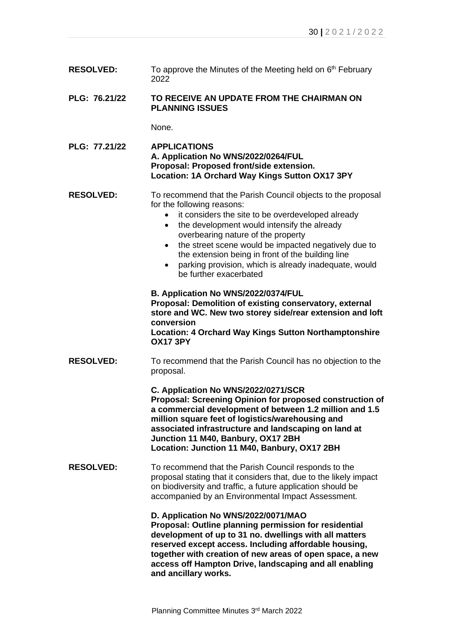- **RESOLVED:** To approve the Minutes of the Meeting held on 6<sup>th</sup> February 2022 **PLG: 76.21/22 TO RECEIVE AN UPDATE FROM THE CHAIRMAN ON PLANNING ISSUES** None.
- **PLG: 77.21/22 APPLICATIONS A. Application No WNS/2022/0264/FUL Proposal: Proposed front/side extension. Location: 1A Orchard Way Kings Sutton OX17 3PY**
- **RESOLVED:** To recommend that the Parish Council objects to the proposal for the following reasons:
	- it considers the site to be overdeveloped already
	- the development would intensify the already overbearing nature of the property
	- the street scene would be impacted negatively due to the extension being in front of the building line
	- parking provision, which is already inadequate, would be further exacerbated
	- **B. Application No WNS/2022/0374/FUL**

**Proposal: Demolition of existing conservatory, external store and WC. New two storey side/rear extension and loft conversion Location: 4 Orchard Way Kings Sutton Northamptonshire** 

**OX17 3PY**

**RESOLVED:** To recommend that the Parish Council has no objection to the proposal.

> **C. Application No WNS/2022/0271/SCR Proposal: Screening Opinion for proposed construction of a commercial development of between 1.2 million and 1.5 million square feet of logistics/warehousing and associated infrastructure and landscaping on land at Junction 11 M40, Banbury, OX17 2BH Location: Junction 11 M40, Banbury, OX17 2BH**

**RESOLVED:** To recommend that the Parish Council responds to the proposal stating that it considers that, due to the likely impact on biodiversity and traffic, a future application should be accompanied by an Environmental Impact Assessment.

**D. Application No WNS/2022/0071/MAO**

**Proposal: Outline planning permission for residential development of up to 31 no. dwellings with all matters reserved except access. Including affordable housing, together with creation of new areas of open space, a new access off Hampton Drive, landscaping and all enabling and ancillary works.**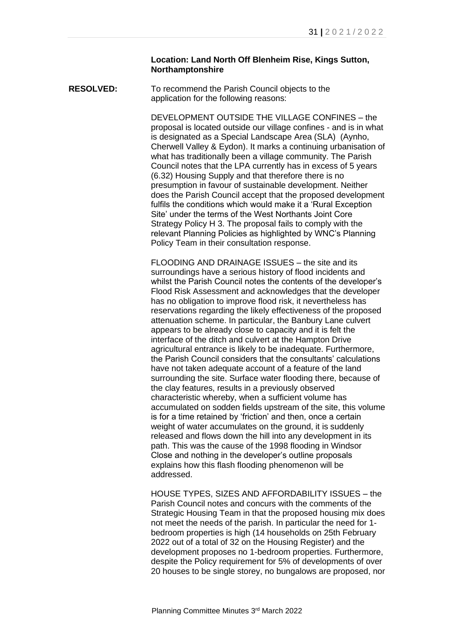### **Location: Land North Off Blenheim Rise, Kings Sutton, Northamptonshire**

**RESOLVED:** To recommend the Parish Council objects to the application for the following reasons:

> DEVELOPMENT OUTSIDE THE VILLAGE CONFINES – the proposal is located outside our village confines - and is in what is designated as a Special Landscape Area (SLA) (Aynho, Cherwell Valley & Eydon). It marks a continuing urbanisation of what has traditionally been a village community. The Parish Council notes that the LPA currently has in excess of 5 years (6.32) Housing Supply and that therefore there is no presumption in favour of sustainable development. Neither does the Parish Council accept that the proposed development fulfils the conditions which would make it a 'Rural Exception Site' under the terms of the West Northants Joint Core Strategy Policy H 3. The proposal fails to comply with the relevant Planning Policies as highlighted by WNC's Planning Policy Team in their consultation response.

> FLOODING AND DRAINAGE ISSUES – the site and its surroundings have a serious history of flood incidents and whilst the Parish Council notes the contents of the developer's Flood Risk Assessment and acknowledges that the developer has no obligation to improve flood risk, it nevertheless has reservations regarding the likely effectiveness of the proposed attenuation scheme. In particular, the Banbury Lane culvert appears to be already close to capacity and it is felt the interface of the ditch and culvert at the Hampton Drive agricultural entrance is likely to be inadequate. Furthermore, the Parish Council considers that the consultants' calculations have not taken adequate account of a feature of the land surrounding the site. Surface water flooding there, because of the clay features, results in a previously observed characteristic whereby, when a sufficient volume has accumulated on sodden fields upstream of the site, this volume is for a time retained by 'friction' and then, once a certain weight of water accumulates on the ground, it is suddenly released and flows down the hill into any development in its path. This was the cause of the 1998 flooding in Windsor Close and nothing in the developer's outline proposals explains how this flash flooding phenomenon will be addressed.

> HOUSE TYPES, SIZES AND AFFORDABILITY ISSUES – the Parish Council notes and concurs with the comments of the Strategic Housing Team in that the proposed housing mix does not meet the needs of the parish. In particular the need for 1 bedroom properties is high (14 households on 25th February 2022 out of a total of 32 on the Housing Register) and the development proposes no 1-bedroom properties. Furthermore, despite the Policy requirement for 5% of developments of over 20 houses to be single storey, no bungalows are proposed, nor